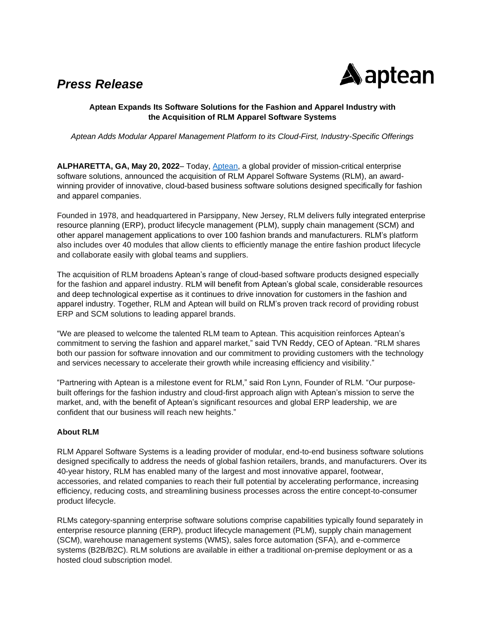## *Press Release*



## **Aptean Expands Its Software Solutions for the Fashion and Apparel Industry with the Acquisition of RLM Apparel Software Systems**

*Aptean Adds Modular Apparel Management Platform to its Cloud-First, Industry-Specific Offerings*

**ALPHARETTA, GA, May 20, 2022**– Today, [Aptean,](https://www.aptean.com/) a global provider of mission-critical enterprise software solutions, announced the acquisition of RLM Apparel Software Systems (RLM), an awardwinning provider of innovative, cloud-based business software solutions designed specifically for fashion and apparel companies.

Founded in 1978, and headquartered in Parsippany, New Jersey, RLM delivers fully integrated enterprise resource planning (ERP), product lifecycle management (PLM), supply chain management (SCM) and other apparel management applications to over 100 fashion brands and manufacturers. RLM's platform also includes over 40 modules that allow clients to efficiently manage the entire fashion product lifecycle and collaborate easily with global teams and suppliers.

The acquisition of RLM broadens Aptean's range of cloud-based software products designed especially for the fashion and apparel industry. RLM will benefit from Aptean's global scale, considerable resources and deep technological expertise as it continues to drive innovation for customers in the fashion and apparel industry. Together, RLM and Aptean will build on RLM's proven track record of providing robust ERP and SCM solutions to leading apparel brands.

"We are pleased to welcome the talented RLM team to Aptean. This acquisition reinforces Aptean's commitment to serving the fashion and apparel market," said TVN Reddy, CEO of Aptean. "RLM shares both our passion for software innovation and our commitment to providing customers with the technology and services necessary to accelerate their growth while increasing efficiency and visibility."

"Partnering with Aptean is a milestone event for RLM," said Ron Lynn, Founder of RLM. "Our purposebuilt offerings for the fashion industry and cloud-first approach align with Aptean's mission to serve the market, and, with the benefit of Aptean's significant resources and global ERP leadership, we are confident that our business will reach new heights."

## **About RLM**

RLM Apparel Software Systems is a leading provider of modular, end-to-end business software solutions designed specifically to address the needs of global fashion retailers, brands, and manufacturers. Over its 40-year history, RLM has enabled many of the largest and most innovative apparel, footwear, accessories, and related companies to reach their full potential by accelerating performance, increasing efficiency, reducing costs, and streamlining business processes across the entire concept-to-consumer product lifecycle.

RLMs category-spanning enterprise software solutions comprise capabilities typically found separately in enterprise resource planning (ERP), product lifecycle management (PLM), supply chain management (SCM), warehouse management systems (WMS), sales force automation (SFA), and e-commerce systems (B2B/B2C). RLM solutions are available in either a traditional on-premise deployment or as a hosted cloud subscription model.